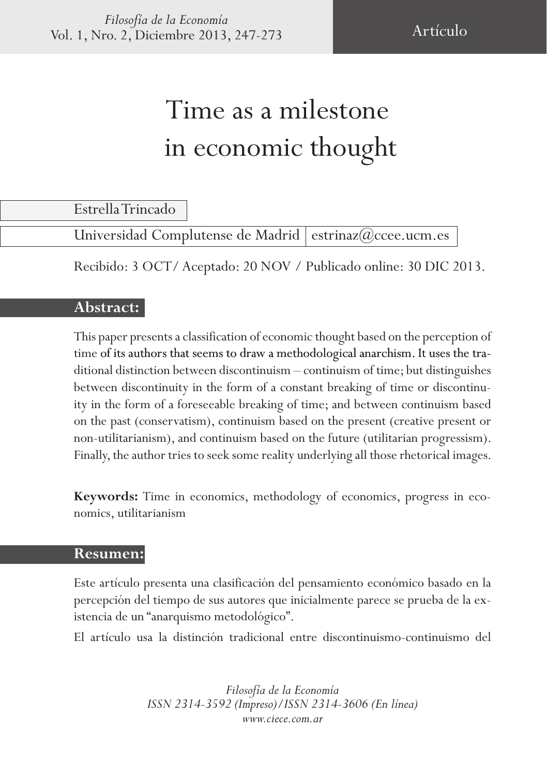# Time as a milestone in economic thought

Estrella Trincado

Universidad Complutense de Madrid estrinaz@ccee.ucm.es

Recibido: 3 OCT/ Aceptado: 20 NOV / Publicado online: 30 DIC 2013.

#### **Abstract:**

This paper presents a classification of economic thought based on the perception of time of its authors that seems to draw a methodological anarchism. It uses the traditional distinction between discontinuism – continuism of time; but distinguishes between discontinuity in the form of a constant breaking of time or discontinuity in the form of a foreseeable breaking of time; and between continuism based on the past (conservatism), continuism based on the present (creative present or non-utilitarianism), and continuism based on the future (utilitarian progressism). Finally, the author tries to seek some reality underlying all those rhetorical images.

**Keywords:** Time in economics, methodology of economics, progress in economics, utilitarianism

#### **Resumen:**

Este artículo presenta una clasificación del pensamiento económico basado en la percepción del tiempo de sus autores que inicialmente parece se prueba de la ex� istencia de un "anarquismo metodológico".

El artículo usa la distinción tradicional entre discontinuismo-continuismo del

*Filosofía de la Economía ISSN 2314-3592 (Impreso)/ISSN 2314-3606 (En línea) www.ciece.com.ar*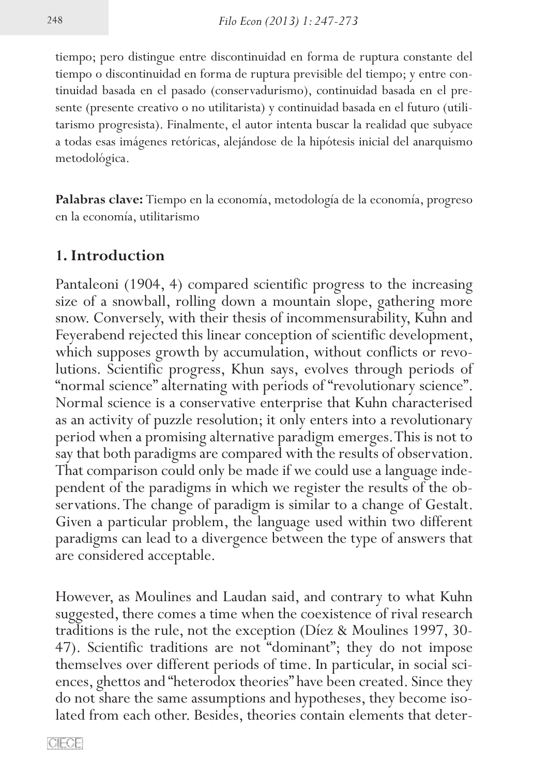tiempo; pero distingue entre discontinuidad en forma de ruptura constante del tiempo o discontinuidad en forma de ruptura previsible del tiempo; y entre con� tinuidad basada en el pasado (conservadurismo), continuidad basada en el presente (presente creativo o no utilitarista) y continuidad basada en el futuro (utilitarismo progresista). Finalmente, el autor intenta buscar la realidad que subyace a todas esas imágenes retóricas, alejándose de la hipótesis inicial del anarquismo metodológica.

**Palabras clave:** Tiempo en la economía, metodología de la economía, progreso en la economía, utilitarismo

#### **1. Introduction**

Pantaleoni (1904, 4) compared scientific progress to the increasing size of a snowball, rolling down a mountain slope, gathering more snow. Conversely, with their thesis of incommensurability, Kuhn and Feyerabend rejected this linear conception of scientific development, which supposes growth by accumulation, without conflicts or revolutions. Scientific progress, Khun says, evolves through periods of "normal science" alternating with periods of "revolutionary science". Normal science is a conservative enterprise that Kuhn characterised as an activity of puzzle resolution; it only enters into a revolutionary period when a promising alternative paradigm emerges. This is not to say that both paradigms are compared with the results of observation. That comparison could only be made if we could use a language independent of the paradigms in which we register the results of the observations. The change of paradigm is similar to a change of Gestalt. Given a particular problem, the language used within two different paradigms can lead to a divergence between the type of answers that are considered acceptable.

However, as Moulines and Laudan said, and contrary to what Kuhn suggested, there comes a time when the coexistence of rival research traditions is the rule, not the exception (Díez & Moulines 1997, 30- 47). Scientific traditions are not "dominant"; they do not impose themselves over different periods of time. In particular, in social sciences, ghettos and "heterodox theories" have been created. Since they do not share the same assumptions and hypotheses, they become isolated from each other. Besides, theories contain elements that deter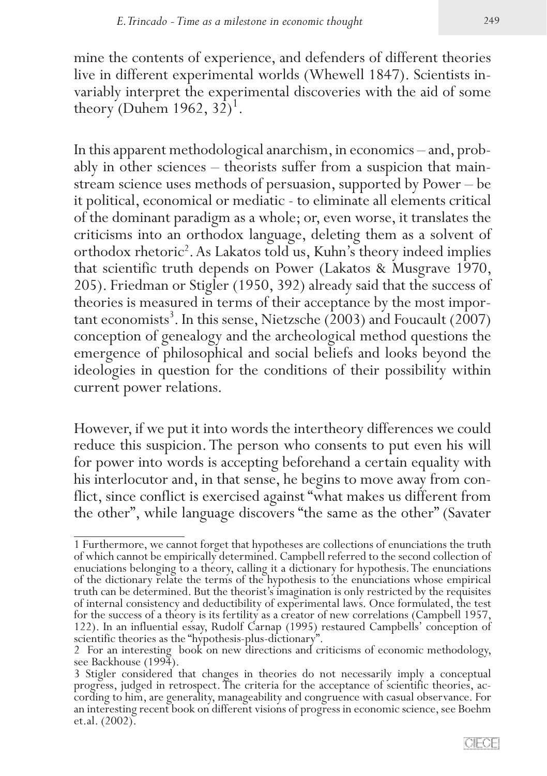mine the contents of experience, and defenders of different theories live in different experimental worlds (Whewell 1847). Scientists in� variably interpret the experimental discoveries with the aid of some theory (Duhem 1962,  $32^1$ )<sup>1</sup>.

In this apparent methodological anarchism, in economics – and, probably in other sciences – theorists suffer from a suspicion that mainstream science uses methods of persuasion, supported by Power – be it political, economical or mediatic - to eliminate all elements critical of the dominant paradigm as a whole; or, even worse, it translates the criticisms into an orthodox language, deleting them as a solvent of orthodox rhetoric<sup>2</sup>. As Lakatos told us, Kuhn's theory indeed implies that scientific truth depends on Power (Lakatos & Musgrave 1970, 205). Friedman or Stigler (1950, 392) already said that the success of theories is measured in terms of their acceptance by the most important economists<sup>3</sup>. In this sense, Nietzsche (2003) and Foucault (2007) conception of genealogy and the archeological method questions the emergence of philosophical and social beliefs and looks beyond the ideologies in question for the conditions of their possibility within current power relations.

However, if we put it into words the intertheory differences we could reduce this suspicion. The person who consents to put even his will for power into words is accepting beforehand a certain equality with his interlocutor and, in that sense, he begins to move away from conflict, since conflict is exercised against "what makes us different from the other", while language discovers "the same as the other" (Savater

<sup>1</sup> Furthermore, we cannot forget that hypotheses are collections of enunciations the truth<br>of which cannot be empirically determined. Campbell referred to the second collection of<br>enuciations belonging to a theory, calling of the dictionary relate the terms of the hypothesis to the enunciations whose empirical truth can be determined. But the theorist's imagination is only restricted by the requisites of internal consistency and deductibility of experimental laws. Once formulated, the test 122). In an influential essay, Rudolf Carnap (1995) restaured Campbells' conception of scientific theories as the "hypothesis-plus-dictionary".

<sup>2</sup> For an interesting book on new directions and criticisms of economic methodology, see Backhouse (1994).

<sup>3</sup> Stigler considered that changes in theories do not necessarily imply a conceptual cording to him, are generality, manageability and congruence with casual observance. For an interesting recent book on different visions of progress in economic science, see Boehm et.al. (2002).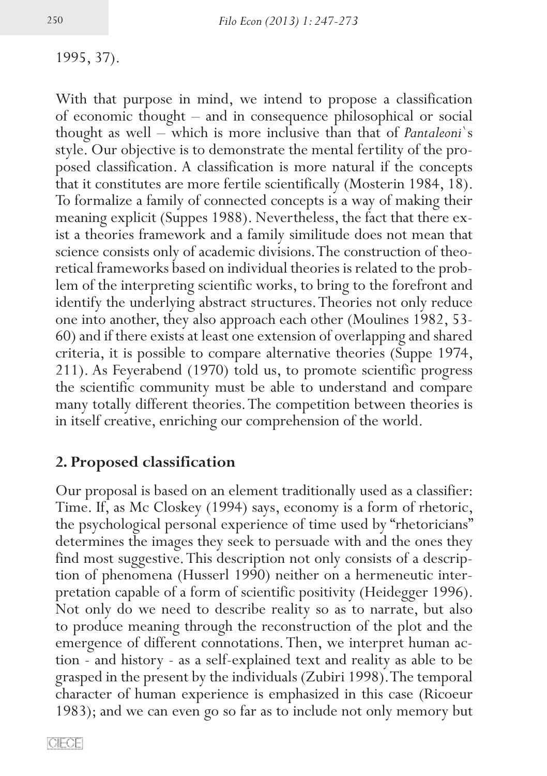1995, 37).

With that purpose in mind, we intend to propose a classification of economic thought – and in consequence philosophical or social thought as well – which is more inclusive than that of *Pantaleoni*`s style. Our objective is to demonstrate the mental fertility of the proposed classification. A classification is more natural if the concepts that it constitutes are more fertile scientifically (Mosterin 1984, 18). To formalize a family of connected concepts is a way of making their meaning explicit (Suppes 1988). Nevertheless, the fact that there exist a theories framework and a family similitude does not mean that science consists only of academic divisions. The construction of theoretical frameworks based on individual theories is related to the problem of the interpreting scientific works, to bring to the forefront and identify the underlying abstract structures. Theories not only reduce one into another, they also approach each other (Moulines 1982, 53-60) and if there exists at least one extension of overlapping and shared criteria, it is possible to compare alternative theories (Suppe 1974, 211). As Feyerabend (1970) told us, to promote scientific progress the scientific community must be able to understand and compare many totally different theories. The competition between theories is in itself creative, enriching our comprehension of the world.

## **2. Proposed classification**

Our proposal is based on an element traditionally used as a classifier: Time. If, as Mc Closkey (1994) says, economy is a form of rhetoric, the psychological personal experience of time used by "rhetoricians" determines the images they seek to persuade with and the ones they find most suggestive. This description not only consists of a description of phenomena (Husserl 1990) neither on a hermeneutic inter-<br>pretation capable of a form of scientific positivity (Heidegger 1996). Not only do we need to describe reality so as to narrate, but also to produce meaning through the reconstruction of the plot and the emergence of different connotations. Then, we interpret human action - and history - as a self-explained text and reality as able to be grasped in the present by the individuals (Zubiri 1998). The temporal character of human experience is emphasized in this case (Ricoeur 1983); and we can even go so far as to include not only memory but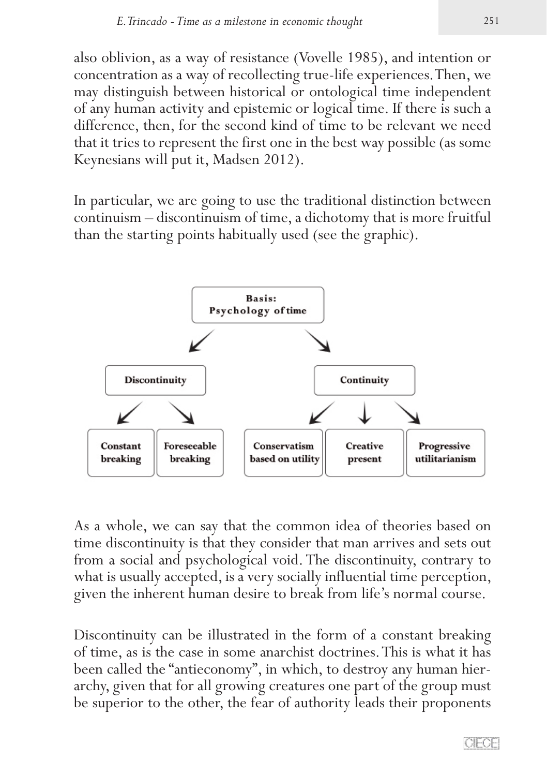also oblivion, as a way of resistance (Vovelle 1985), and intention or concentration as a way of recollecting true-life experiences. Then, we may distinguish between historical or ontological time independent of any human activity and epistemic or logical time. If there is such a difference, then, for the second kind of time to be relevant we need that it tries to represent the first one in the best way possible (as some Keynesians will put it, Madsen 2012).

In particular, we are going to use the traditional distinction between continuism – discontinuism of time, a dichotomy that is more fruitful than the starting points habitually used (see the graphic).



As a whole, we can say that the common idea of theories based on time discontinuity is that they consider that man arrives and sets out from a social and psychological void. The discontinuity, contrary to what is usually accepted, is a very socially influential time perception, given the inherent human desire to break from life's normal course.

Discontinuity can be illustrated in the form of a constant breaking of time, as is the case in some anarchist doctrines. This is what it has been called the "antieconomy", in which, to destroy any human hierarchy, given that for all growing creatures one part of the group must be superior to the other, the fear of authority leads their proponents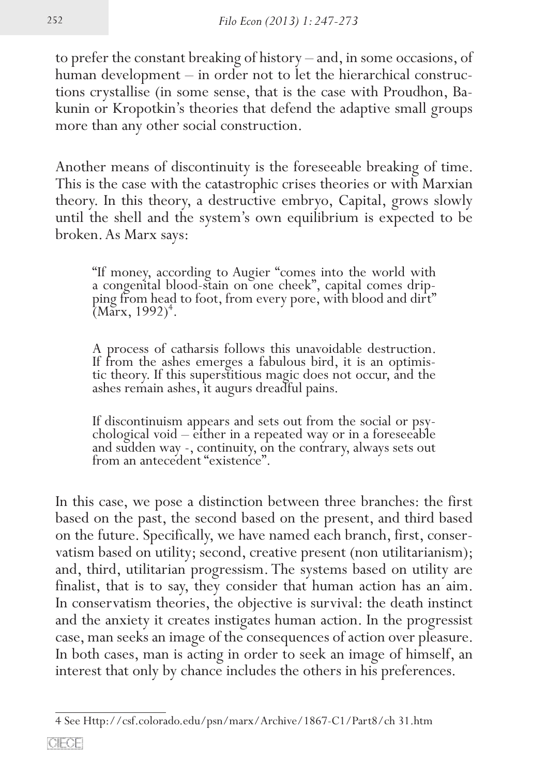to prefer the constant breaking of history – and, in some occasions, of human development – in order not to let the hierarchical constructions crystallise (in some sense, that is the case with Proudhon, Ba� kunin or Kropotkin's theories that defend the adaptive small groups more than any other social construction.

Another means of discontinuity is the foreseeable breaking of time. This is the case with the catastrophic crises theories or with Marxian theory. In this theory, a destructive embryo, Capital, grows slowly until the shell and the system's own equilibrium is expected to be broken. As Marx says:

"If money, according to Augier "comes into the world with a congenital blood-stain on one cheek", capital comes drip-<br>ping from head to foot, from every pore, with blood and dirt"  $(Marx, 1992)^4$ .

A process of catharsis follows this unavoidable destruction. If from the ashes emerges a fabulous bird, it is an optimistic theory. If this superstitious magic does not occur, and the ashes remain ashes, it augurs dreadful pains.

If discontinuism appears and sets out from the social or psy� chological void – either in a repeated way or in a foreseeable and sudden way -, continuity, on the contrary, always sets out from an antecedent "existence".

In this case, we pose a distinction between three branches: the first based on the past, the second based on the present, and third based on the future. Specifically, we have named each branch, first, conservatism based on utility; second, creative present (non utilitarianism); and, third, utilitarian progressism. The systems based on utility are finalist, that is to say, they consider that human action has an aim. In conservatism theories, the objective is survival: the death instinct and the anxiety it creates instigates human action. In the progressist case, man seeks an image of the consequences of action over pleasure. In both cases, man is acting in order to seek an image of himself, an interest that only by chance includes the others in his preferences.

<sup>4</sup> See Http://csf.colorado.edu/psn/marx/Archive/1867-C1/Part8/ch 31.htm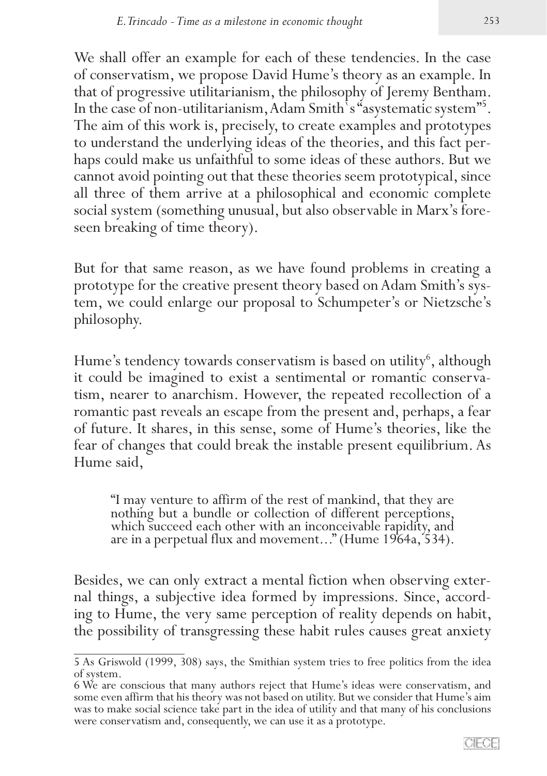We shall offer an example for each of these tendencies. In the case of conservatism, we propose David Hume's theory as an example. In that of progressive utilitarianism, the philosophy of Jeremy Bentham. In the case of non-utilitarianism, Adam Smith`s "asystematic system"5 . The aim of this work is, precisely, to create examples and prototypes to understand the underlying ideas of the theories, and this fact perhaps could make us unfaithful to some ideas of these authors. But we cannot avoid pointing out that these theories seem prototypical, since all three of them arrive at a philosophical and economic complete social system (something unusual, but also observable in Marx's foreseen breaking of time theory).

But for that same reason, as we have found problems in creating a prototype for the creative present theory based on Adam Smith's system, we could enlarge our proposal to Schumpeter's or Nietzsche's philosophy.

Hume's tendency towards conservatism is based on utility<sup>6</sup>, although it could be imagined to exist a sentimental or romantic conservatism, nearer to anarchism. However, the repeated recollection of a romantic past reveals an escape from the present and, perhaps, a fear of future. It shares, in this sense, some of Hume's theories, like the fear of changes that could break the instable present equilibrium. As Hume said,

"I may venture to affirm of the rest of mankind, that they are nothing but a bundle or collection of different perceptions, which succeed each other with an inconceivable rapidity, and are in a perpetual flux and movement..." (Hume 1964a, 534).

Besides, we can only extract a mental fiction when observing external things, a subjective idea formed by impressions. Since, according to Hume, the very same perception of reality depends on habit, the possibility of transgressing these habit rules causes great anxiety

<sup>5</sup> As Griswold (1999, 308) says, the Smithian system tries to free politics from the idea of system.

<sup>6</sup> We are conscious that many authors reject that Hume's ideas were conservatism, and some even affirm that his theory was not based on utility. But we consider that Hume's aim was to make social science take part in the idea of utility and that many of his conclusions were conservatism and, consequently, we can use it as a prototype.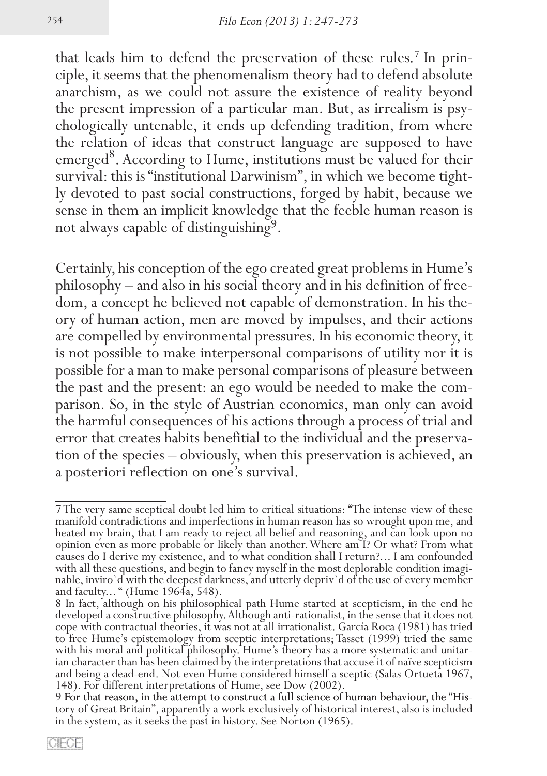that leads him to defend the preservation of these rules.<sup>7</sup> In principle, it seems that the phenomenalism theory had to defend absolute anarchism, as we could not assure the existence of reality beyond the present impression of a particular man. But, as irrealism is psychologically untenable, it ends up defending tradition, from where the relation of ideas that construct language are supposed to have emerged<sup>8</sup>. According to Hume, institutions must be valued for their survival: this is "institutional Darwinism", in which we become tightly devoted to past social constructions, forged by habit, because we sense in them an implicit knowledge that the feeble human reason is not always capable of distinguishing9.

Certainly, his conception of the ego created great problems in Hume's dom, a concept he believed not capable of demonstration. In his theory of human action, men are moved by impulses, and their actions are compelled by environmental pressures. In his economic theory, it is not possible to make interpersonal comparisons of utility nor it is possible for a man to make personal comparisons of pleasure between the past and the present: an ego would be needed to make the comparison. So, in the style of Austrian economics, man only can avoid the harmful consequences of his actions through a process of trial and error that creates habits benefitial to the individual and the preservation of the species – obviously, when this preservation is achieved, an a posteriori reflection on one's survival.

<sup>7</sup> The very same sceptical doubt led him to critical situations: "The intense view of these manifold contradictions and imperfections in human reason has so wrought upon me, and heated my brain, that I am ready to reject all belief and reasoning, and can look upon no opinion even as more probable or likely than another. Where am I? Or what? From what causes do I derive my existence, and to what condition shall I return?... I am confounded with all these questions, and begin to fancy myself in the most deplorable condition imaginable, inviro'd with the deepest darkness, and utterly depriv'd of the use of every member and faculty..." (Hume 1964a, 548).

<sup>8</sup> In fact, although on his philosophical path Hume started at scepticism, in the end he developed a constructive philosophy. Although anti-rationalist, in the sense that it does not cope with contractual theories, it was not at all irrationalist. García Roca (1981) has tried to free Hume's epistemology from sceptic interpretations; Tasset (1999) tried the same with his moral and political philosophy. Hume's theory has a more systematic and unitarian character than has been claimed by the interpretations that accuse it of naïve scepticism and being a dead-end. Not even Hume considered himself a sceptic (Salas Ortueta 1967, 148). For different interpretations of Hume, see Dow (2002).

<sup>9</sup> For that reason, in the attempt to construct a full science of human behaviour, the "History of Great Britain", apparently a work exclusively of historical interest, also is included in the system, as it seeks the past i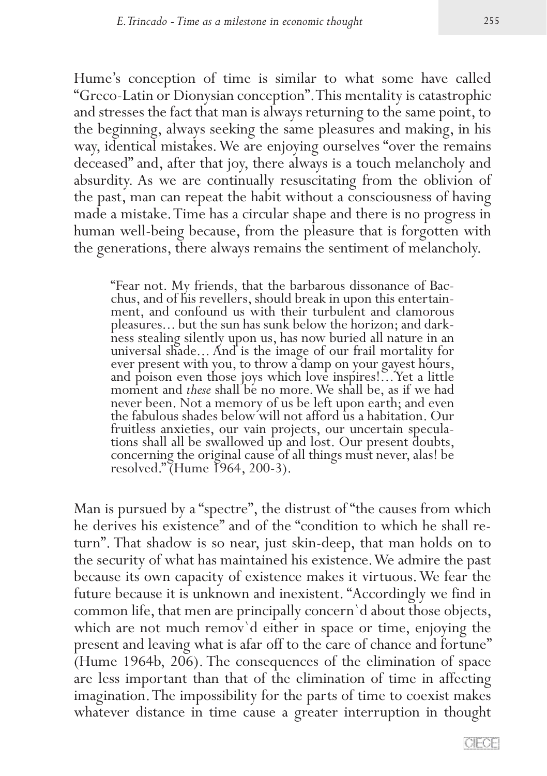Hume's conception of time is similar to what some have called "Greco-Latin or Dionysian conception". This mentality is catastrophic and stresses the fact that man is always returning to the same point, to the beginning, always seeking the same pleasures and making, in his way, identical mistakes. We are enjoying ourselves "over the remains deceased" and, after that joy, there always is a touch melancholy and absurdity. As we are continually resuscitating from the oblivion of the past, man can repeat the habit without a consciousness of having made a mistake. Time has a circular shape and there is no progress in human well-being because, from the pleasure that is forgotten with the generations, there always remains the sentiment of melancholy.

"Fear not. My friends, that the barbarous dissonance of Bac-<br>chus, and of his revellers, should break in upon this entertain-<br>ment, and confound us with their turbulent and clamorous<br>pleasures... but the sun has sunk below hess stealing silently upon us, has now buried all nature in an universal shade... And is the image of our frail mortality for ever present with you, to throw a damp on your gayest hours, and poison even those joys which love inspires!... Yet a little moment and *these* shall be no more. We shall be, as if we had never been. Not a memory of us be left upon earth; and even the fabulous shades below will not afford us a habitation. Our fruitless anxieties, our vain projects, our uncertain speculations shall all be swallowed up and lost. Our present doubts, concerning the original cause of all things must never, alas! be resolved." (Hume 1964, 200-3).

Man is pursued by a "spectre", the distrust of "the causes from which<br>he derives his existence" and of the "condition to which he shall return". That shadow is so near, just skin-deep, that man holds on to the security of what has maintained his existence. We admire the past because its own capacity of existence makes it virtuous. We fear the future because it is unknown and inexistent. "Accordingly we find in common life, that men are principally concern`d about those objects, which are not much remov`d either in space or time, enjoying the present and leaving what is afar off to the care of chance and fortune" (Hume 1964b, 206). The consequences of the elimination of space are less important than that of the elimination of time in affecting imagination. The impossibility for the parts of time to coexist makes whatever distance in time cause a greater interruption in thought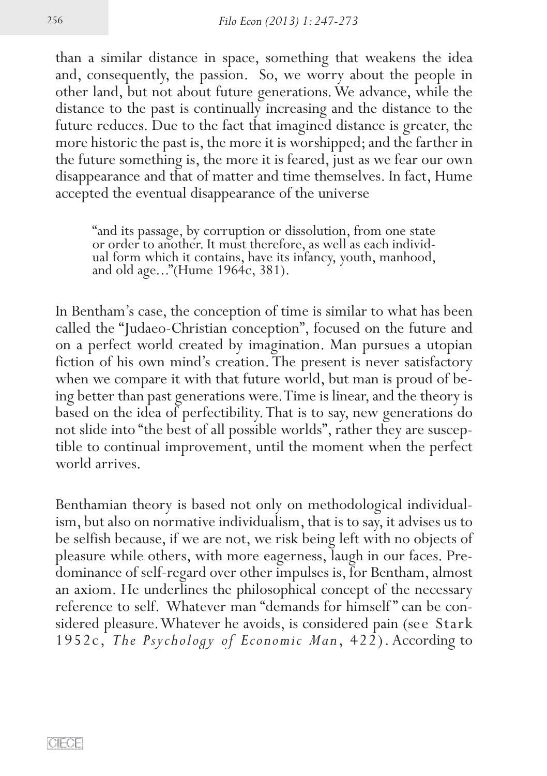than a similar distance in space, something that weakens the idea and, consequently, the passion. So, we worry about the people in other land, but not about future generations. We advance, while the distance to the past is continually increasing and the distance to the future reduces. Due to the fact that imagined distance is greater, the more historic the past is, the more it is worshipped; and the farther in the future something is, the more it is feared, just as we fear our own disappearance and that of matter and time themselves. In fact, Hume accepted the eventual disappearance of the universe

"and its passage, by corruption or dissolution, from one state or order to another. It must therefore, as well as each individual form which it contains, have its infancy, youth, manhood, and old age..."(Hume 1964c, 381).

In Bentham's case, the conception of time is similar to what has been called the "Judaeo-Christian conception", focused on the future and on a perfect world created by imagination. Man pursues a utopian fiction of his own mind's creation. The present is never satisfactory when we compare it with that future world, but man is proud of being better than past generations were. Time is linear, and the theory is based on the idea of perfectibility. That is to say, new generations do not slide into "the best of all possible worlds", rather they are susceptible to continual improvement, until the moment when the perfect world arrives.

Benthamian theory is based not only on methodological individualism, but also on normative individualism, that is to say, it advises us to be selfish because, if we are not, we risk being left with no objects of pleasure while others, with more eagerness, laugh in our faces. Pre-<br>dominance of self-regard over other impulses is, for Bentham, almost an axiom. He underlines the philosophical concept of the necessary reference to self. Whatever man "demands for himself" can be considered pleasure. Whatever he avoids, is considered pain (see Stark 1952c, *The Psychology of Economic Man*, 422). According to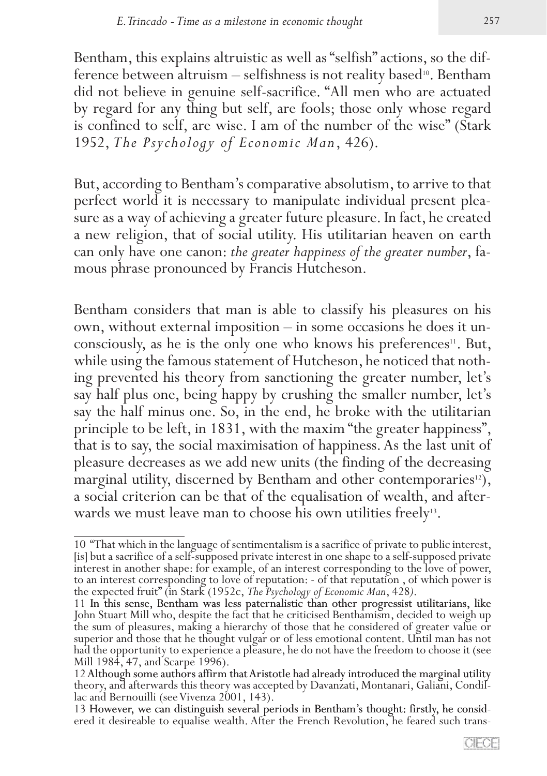Bentham, this explains altruistic as well as "selfish" actions, so the difference between altruism  $-$  selfishness is not reality based<sup>10</sup>. Bentham did not believe in genuine self-sacrifice. "All men who are actuated by regard for any thing but self, are fools; those only whose regard is confined to self, are wise. I am of the number of the wise" (Stark 1952, *The Psychology of Economic Man*, 426).

But, according to Bentham's comparative absolutism, to arrive to that perfect world it is necessary to manipulate individual present plea� sure as a way of achieving a greater future pleasure. In fact, he created a new religion, that of social utility. His utilitarian heaven on earth can only have one canon: *the greater happiness of the greater number*, fa-<br>mous phrase pronounced by Francis Hutcheson.

Bentham considers that man is able to classify his pleasures on his own, without external imposition – in some occasions he does it un� consciously, as he is the only one who knows his preferences<sup>11</sup>. But, while using the famous statement of Hutcheson, he noticed that nothing prevented his theory from sanctioning the greater number, let's say half plus one, being happy by crushing the smaller number, let's say the half minus one. So, in the end, he broke with the utilitarian principle to be left, in 1831, with the maxim "the greater happiness", that is to say, the social maximisation of happiness. As the last unit of pleasure decreases as we add new units (the finding of the decreasing marginal utility, discerned by Bentham and other contemporaries<sup>12</sup>), a social criterion can be that of the equalisation of wealth, and afterwards we must leave man to choose his own utilities freely<sup>13</sup>.

<sup>10 &</sup>quot;That which in the language of sentimentalism is a sacrifice of private to public interest, [is] but a sacrifice of a self-supposed private interest in one shape to a self-supposed private interest in another shape: for to an interest corresponding to love of reputation: - of that reputation, of which power is the expected fruit" (in Stark (1952c, *The Psychology of Economic Man*, 428).

<sup>11</sup> In this sense, Bentham was less paternalistic than other progressist utilitarians, like<br>John Stuart Mill who, despite the fact that he criticised Benthamism, decided to weigh up<br>the sum of pleasures, making a hierarchy superior and those that he thought vulgar or of less emotional content. Until man has not had the opportunity to experience a pleasure, he do not have the freedom to choose it (see

<sup>12</sup> Although some authors affirm that Aristotle had already introduced the marginal utility<br>theory, and afterwards this theory was accepted by Davanzati, Montanari, Galiani, Condil-<br>lac and Bernouilli (see Vivenza 2001, 143

ered it desireable to equalise wealth. After the French Revolution, he feared such trans-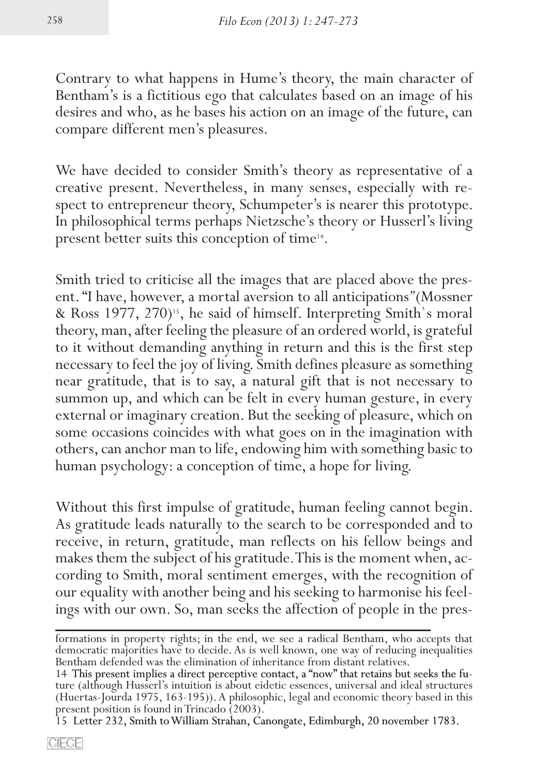Contrary to what happens in Hume's theory, the main character of Bentham's is a fictitious ego that calculates based on an image of his desires and who, as he bases his action on an image of the future, can compare different men's pleasures.

We have decided to consider Smith's theory as representative of a creative present. Nevertheless, in many senses, especially with respect to entrepreneur theory, Schumpeter's is nearer this prototype. In philosophical terms perhaps Nietzsche's theory or Husserl's living present better suits this conception of time14.

Smith tried to criticise all the images that are placed above the present. "I have, however, a mortal aversion to all anticipations" *(Mossner*) & Ross 1977, 270)<sup>15</sup>, he said of himself. Interpreting Smith's moral theory, man, after feeling the pleasure of an ordered world, is grateful to it without demanding anything in return and this is the first step necessary to feel the joy of living. Smith defines pleasure as something near gratitude, that is to say, a natural gift that is not necessary to summon up, and which can be felt in every human gesture, in every external or imaginary creation. But the seeking of pleasure, which on some occasions coincides with what goes on in the imagination with others, can anchor man to life, endowing him with something basic to human psychology: a conception of time, a hope for living.

Without this first impulse of gratitude, human feeling cannot begin. As gratitude leads naturally to the search to be corresponded and to receive, in return, gratitude, man reflects on his fellow beings and makes them the subject of his gratitude. This is the moment when, according to Smith, moral sentiment emerges, with the recognition of our equality with another being and his seeking to harmonise his feelings with our own. So, man seeks the affection of people in the pres-

formations in property rights; in the end, we see a radical Bentham, who accepts that democratic majorities have to decide. As is well known, one way of reducing inequalities Bentham defended was the elimination of inherit

<sup>14</sup> This present implies a direct perceptive contact, a "now" that retains but seeks the future (although Husserl's intuition is about eidetic essences, universal and ideal structures (Huertas-Jourda 1975, 163-195)). A philosophic, legal and economic theory based in this present position is found in Trincado (2003).

<sup>15</sup> Letter 232, Smith to William Strahan, Canongate, Edimburgh, 20 november 1783.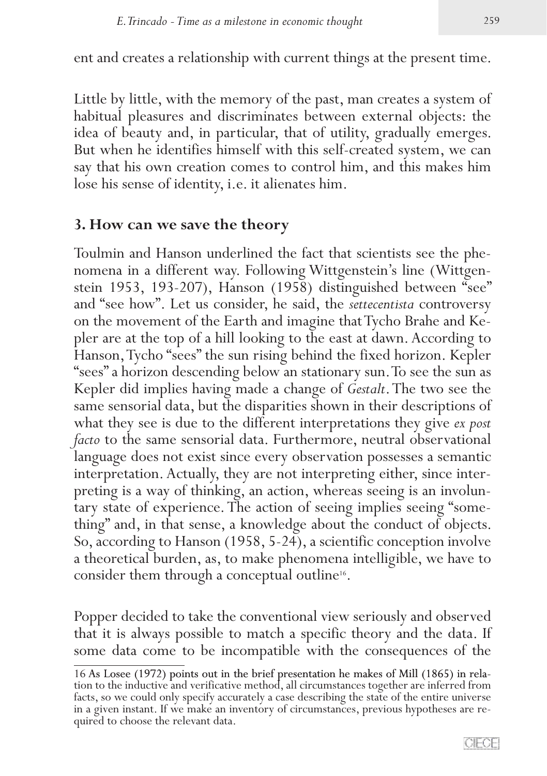ent and creates a relationship with current things at the present time.

Little by little, with the memory of the past, man creates a system of habitual pleasures and discriminates between external objects: the idea of beauty and, in particular, that of utility, gradually emerges. But when he identifies himself with this self-created system, we can say that his own creation comes to control him, and this makes him lose his sense of identity, i.e. it alienates him.

# **3. How can we save the theory**

Toulmin and Hanson underlined the fact that scientists see the phe� nomena in a different way. Following Wittgenstein's line (Wittgen� stein 1953, 193-207), Hanson (1958) distinguished between "see" and "see how". Let us consider, he said, the *settecentista* controversy on the movement of the Earth and imagine that Tycho Brahe and Kepler are at the top of a hill looking to the east at dawn. According to Hanson, Tycho "sees" the sun rising behind the fixed horizon. Kepler "sees" a horizon descending below an stationary sun. To see the sun as Kepler did implies having made a change of *Gestalt*. The two see the same sensorial data, but the disparities shown in their descriptions of what they see is due to the different interpretations they give *ex post facto* to the same sensorial data. Furthermore, neutral observational language does not exist since every observation possesses a semantic interpretation. Actually, they are not interpreting either, since interpreting is a way of thinking, an action, whereas seeing is an involuntary state of experience. The action of seeing implies seeing "something" and, in that sense, a knowledge about the conduct of objects. So, according to Hanson (1958, 5-24), a scientific conception involve a theoretical burden, as, to make phenomena intelligible, we have to consider them through a conceptual outline<sup>16</sup>.

Popper decided to take the conventional view seriously and observed that it is always possible to match a specific theory and the data. If some data come to be incompatible with the consequences of the

<sup>16</sup> As Losee (1972) points out in the brief presentation he makes of Mill (1865) in relation to the inductive and verificative method, all circumstances together are inferred from facts, so we could only specify accurately a case describing the state of the entire universe in a given instant. If we make an inventory of circumstances, previous hypotheses are re� quired to choose the relevant data.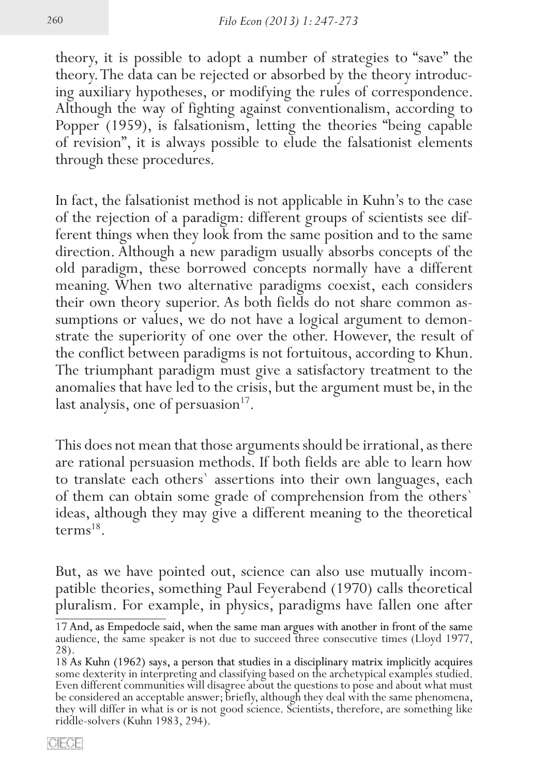theory, it is possible to adopt a number of strategies to "save" the theory. The data can be rejected or absorbed by the theory introduc� ing auxiliary hypotheses, or modifying the rules of correspondence. Although the way of fighting against conventionalism, according to Popper (1959), is falsationism, letting the theories "being capable of revision", it is always possible to elude the falsationist elements through these procedures.

In fact, the falsationist method is not applicable in Kuhn's to the case ferent things when they look from the same position and to the same direction. Although a new paradigm usually absorbs concepts of the old paradigm, these borrowed concepts normally have a different meaning. When two alternative paradigms coexist, each considers their own theory superior. As both fields do not share common assumptions or values, we do not have a logical argument to demonstrate the superiority of one over the other. However, the result of the conflict between paradigms is not fortuitous, according to Khun. The triumphant paradigm must give a satisfactory treatment to the anomalies that have led to the crisis, but the argument must be, in the last analysis, one of persuasion $17$ .

This does not mean that those arguments should be irrational, as there are rational persuasion methods. If both fields are able to learn how to translate each others` assertions into their own languages, each of them can obtain some grade of comprehension from the others` ideas, although they may give a different meaning to the theoretical term $s^{18}$ .

But, as we have pointed out, science can also use mutually incompatible theories, something Paul Feyerabend (1970) calls theoretical pluralism. For example, in physics, paradigms have fallen one after

<sup>17</sup> And, as Empedocle said, when the same man argues with another in front of the same audience, the same speaker is not due to succeed three consecutive times (Lloyd 1977, 28).

As Kuhn (1962) says, a person that studies in a disciplinary matrix implicitly acquires some dexterity in interpreting and classifying based on the archetypical examples studied. Even different communities will disagree about the questions to pose and about what must<br>be considered an acceptable answer; briefly, although they deal with the same phenomena, they will differ in what is or is not good science. Scientists, therefore, are something like riddle-solvers (Kuhn 1983, 294).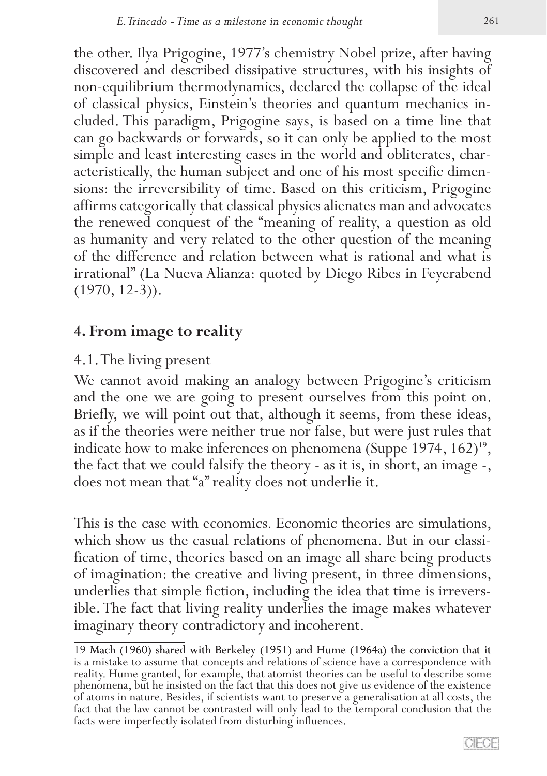the other. Ilya Prigogine, 1977's chemistry Nobel prize, after having discovered and described dissipative structures, with his insights of non-equilibrium thermodynamics, declared the collapse of the ideal of classical physics, Einstein's theories and quantum mechanics in� cluded. This paradigm, Prigogine says, is based on a time line that can go backwards or forwards, so it can only be applied to the most simple and least interesting cases in the world and obliterates, characteristically, the human subject and one of his most specific dimen� sions: the irreversibility of time. Based on this criticism, Prigogine affirms categorically that classical physics alienates man and advocates the renewed conquest of the "meaning of reality, a question as old as humanity and very related to the other question of the meaning of the difference and relation between what is rational and what is irrational" (La Nueva Alianza: quoted by Diego Ribes in Feyerabend  $(1970, 12-3)$ .

#### **4. From image to reality**

#### 4.1. The living present

We cannot avoid making an analogy between Prigogine's criticism and the one we are going to present ourselves from this point on. Briefly, we will point out that, although it seems, from these ideas, as if the theories were neither true nor false, but were just rules that indicate how to make inferences on phenomena (Suppe 1974,  $162)^{19}$ , the fact that we could falsify the theory - as it is, in short, an image -, does not mean that "a" reality does not underlie it.

This is the case with economics. Economic theories are simulations, which show us the casual relations of phenomena. But in our classification of time, theories based on an image all share being products of imagination: the creative and living present, in three dimensions, underlies that simple fiction, including the idea that time is irrevers-<br>ible. The fact that living reality underlies the image makes whatever imaginary theory contradictory and incoherent.

<sup>19</sup> Mach (1960) shared with Berkeley (1951) and Hume (1964a) the conviction that it is a mistake to assume that concepts and relations of science have a correspondence with reality. Hume granted, for example, that atomist theories can be useful to describe some phenomena, but he insisted on the fact that this does not give us evidence of the existence of atoms in nature. Besides, if scientists want to preserve a generalisation at all costs, the fact that the law cannot be contrasted will only lead to the temporal conclusion that the facts were imperfectly isolated from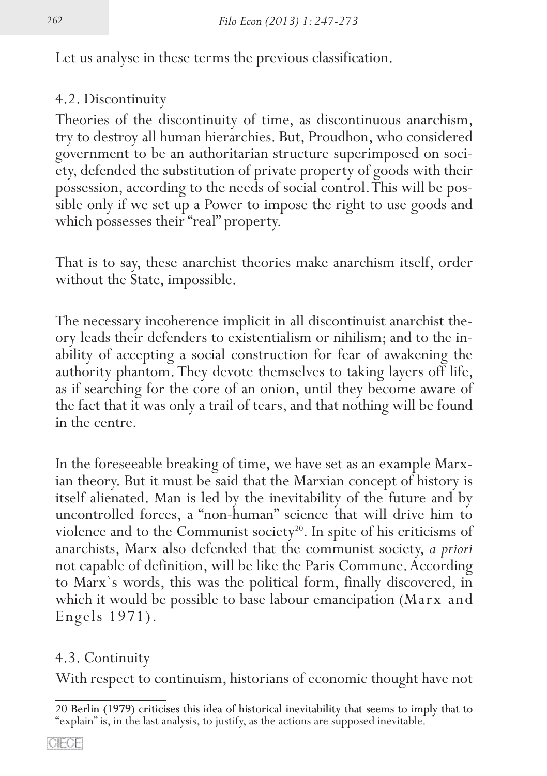Let us analyse in these terms the previous classification.

# 4.2. Discontinuity

Theories of the discontinuity of time, as discontinuous anarchism, try to destroy all human hierarchies. But, Proudhon, who considered government to be an authoritarian structure superimposed on society, defended the substitution of private property of goods with their possession, according to the needs of social control. This will be possible only if we set up a Power to impose the right to use goods and which possesses their "real" property.

That is to say, these anarchist theories make anarchism itself, order without the State, impossible.

The necessary incoherence implicit in all discontinuist anarchist theory leads their defenders to existentialism or nihilism; and to the in� ability of accepting a social construction for fear of awakening the authority phantom. They devote themselves to taking layers off life, as if searching for the core of an onion, until they become aware of the fact that it was only a trail of tears, and that nothing will be found in the centre.

In the foreseeable breaking of time, we have set as an example Marxian theory. But it must be said that the Marxian concept of history is itself alienated. Man is led by the inevitability of the future and by uncontrolled forces, a "non-human" science that will drive him to violence and to the Communist society<sup>20</sup>. In spite of his criticisms of anarchists, Marx also defended that the communist society, *a priori* not capable of definition, will be like the Paris Commune. According to Marx`s words, this was the political form, finally discovered, in which it would be possible to base labour emancipation (Marx and Engels 1971).

# 4.3. Continuity

With respect to continuism, historians of economic thought have not

Berlin (1979) criticises this idea of historical inevitability that seems to imply that to "explain" is, in the last analysis, to justify, as the actions are supposed inevitable.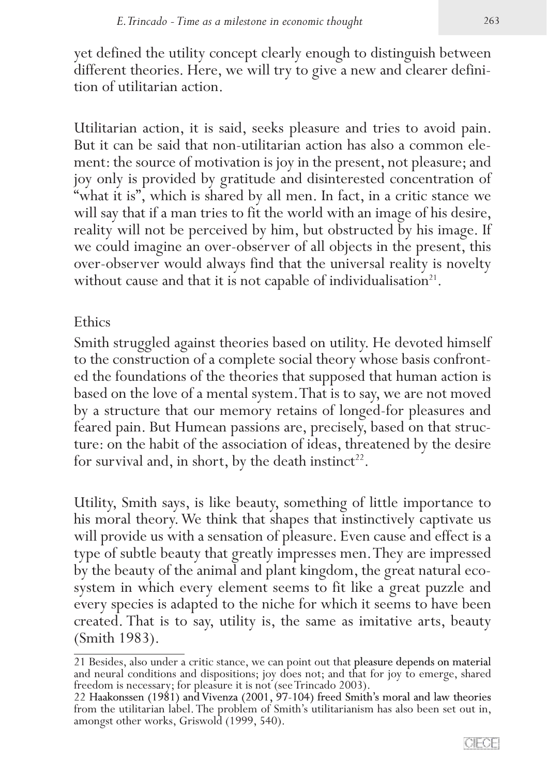yet defined the utility concept clearly enough to distinguish between different theories. Here, we will try to give a new and clearer definition of utilitarian action.

Utilitarian action, it is said, seeks pleasure and tries to avoid pain. But it can be said that non-utilitarian action has also a common element: the source of motivation is joy in the present, not pleasure; and joy only is provided by gratitude and disinterested concentration of "what it is", which is shared by all men. In fact, in a critic stance we will say that if a man tries to fit the world with an image of his desire, reality will not be perceived by him, but obstructed by his image. If we could imagine an over-observer of all objects in the present, this over-observer would always find that the universal reality is novelty without cause and that it is not capable of individualisation<sup>21</sup>.

#### Ethics

Smith struggled against theories based on utility. He devoted himself to the construction of a complete social theory whose basis confront� ed the foundations of the theories that supposed that human action is based on the love of a mental system. That is to say, we are not moved by a structure that our memory retains of longed-for pleasures and feared pain. But Humean passions are, precisely, based on that struc� ture: on the habit of the association of ideas, threatened by the desire for survival and, in short, by the death instinct<sup>22</sup>.

Utility, Smith says, is like beauty, something of little importance to his moral theory. We think that shapes that instinctively captivate us will provide us with a sensation of pleasure. Even cause and effect is a type of subtle beauty that greatly impresses men. They are impressed<br>by the beauty of the animal and plant kingdom, the great natural ecosystem in which every element seems to fit like a great puzzle and every species is adapted to the niche for which it seems to have been created. That is to say, utility is, the same as imitative arts, beauty (Smith 1983).

<sup>21</sup> Besides, also under a critic stance, we can point out that pleasure depends on material and neural conditions and dispositions; joy does not; and that for joy to emerge, shared freedom is necessary; for pleasure it is not (see Trincado 2003).

<sup>22</sup> Haakonssen (1981) and Vivenza (2001, 97-104) freed Smith's moral and law theories from the utilitarian label. The problem of Smith's utilitarianism has also been set out in, amongst other works, Griswold (1999, 540).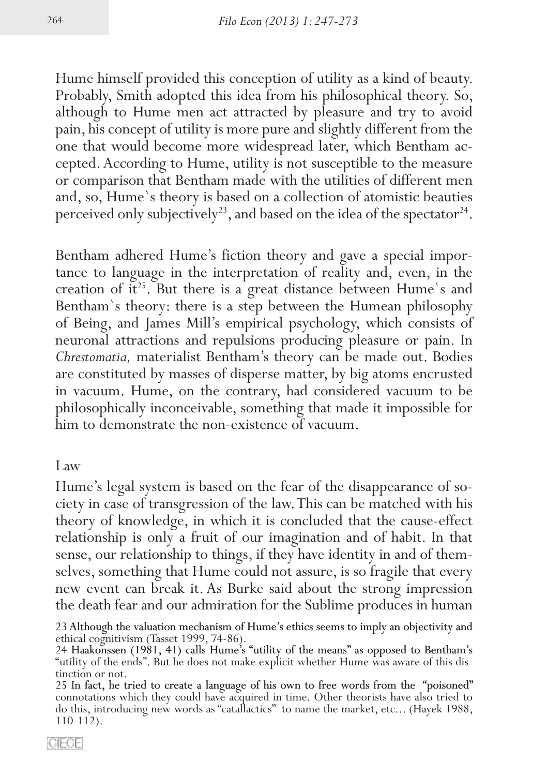Hume himself provided this conception of utility as a kind of beauty. Probably, Smith adopted this idea from his philosophical theory. So, although to Hume men act attracted by pleasure and try to avoid pain, his concept of utility is more pure and slightly different from the cepted. According to Hume, utility is not susceptible to the measure or comparison that Bentham made with the utilities of different men and, so, Hume`s theory is based on a collection of atomistic beauties perceived only subjectively<sup>23</sup>, and based on the idea of the spectator<sup>24</sup>.

Bentham adhered Hume's fiction theory and gave a special importance to language in the interpretation of reality and, even, in the creation of it<sup>25</sup>. But there is a great distance between Hume's and Bentham`s theory: there is a step between the Humean philosophy of Being, and James Mill's empirical psychology, which consists of neuronal attractions and repulsions producing pleasure or pain. In *Chrestomatia,* materialist Bentham's theory can be made out. Bodies are constituted by masses of disperse matter, by big atoms encrusted in vacuum. Hume, on the contrary, had considered vacuum to be philosophically inconceivable, something that made it impossible for him to demonstrate the non-existence of vacuum.

Law

Hume's legal system is based on the fear of the disappearance of society in case of transgression of the law. This can be matched with his theory of knowledge, in which it is concluded that the cause-effect relationship is only a fruit of our imagination and of habit. In that sense, our relationship to things, if they have identity in and of themselves, something that Hume could not assure, is so fragile that every new event can break it.As Burke said about the strong impression the death fear and our admiration for the Sublime produces in human

<sup>23</sup> Although the valuation mechanism of Hume's ethics seems to imply an objectivity and ethical cognitivism (Tasset 1999, 74-86).

<sup>24</sup> Haakonssen (1981, 41) calls Hume's "utility of the means" as opposed to Bentham's "utility of the ends". But he does not make explicit whether Hume was aware of this dis-<br>tinction or not.<br>25 In fact, he tried to create a language of his own to free words from the "poisoned"

<sup>25 �</sup> � connotations which they could have acquired in time. Other theorists have also tried to do this, introducing new words as "catallactics" to name the market, etc... (Hayek 1988, 110-112).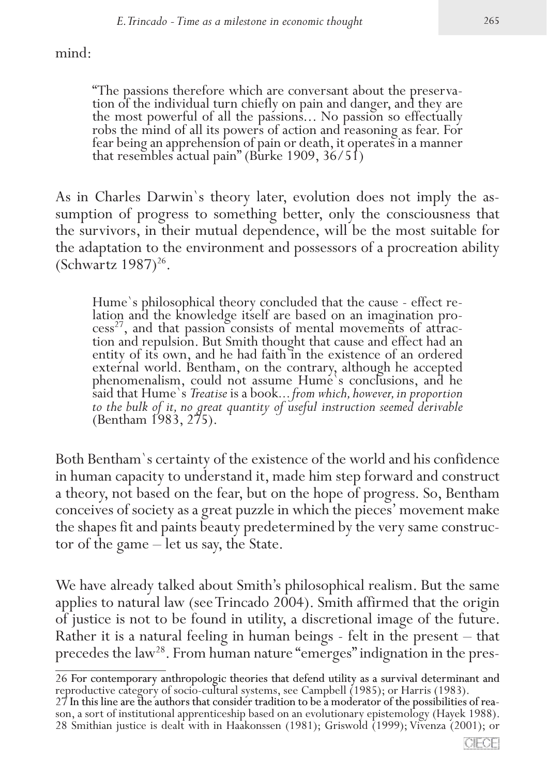mind:

"The passions therefore which are conversant about the preservation of the individual turn chiefly on pain and danger, and they are the most powerful of all the passions... No passion so effectually robs the mind of all its powers of action and reasoning as fear. For fear being an apprehension of pain or death, it operates in a manner that resembles actual pain" (Burke 1909, 36/51)

As in Charles Darwin's theory later, evolution does not imply the assumption of progress to something better, only the consciousness that the survivors, in their mutual dependence, will be the most suitable for the adaptation to the environment and possessors of a procreation ability (Schwartz  $1987$ )<sup>26</sup>.

Hume's philosophical theory concluded that the cause - effect relation and the knowledge itself are based on an imagination process<sup>27</sup>, and that passion consists of mental movements of attraction and repulsion. But Smith entity of its own, and he had faith in the existence of an ordered external world. Bentham, on the contrary, although he accepted phenomenalism, could not assume Hume`s conclusions, and he said that Hume`s *Treatise* is a book... *from which, however, in proportion* to the bulk of it, no great quantity of useful instruction seemed derivable (Bentham 1983, 275).

Both Bentham`s certainty of the existence of the world and his confidence in human capacity to understand it, made him step forward and construct a theory, not based on the fear, but on the hope of progress. So, Bentham conceives of society as a great puzzle in which the pieces' movement make the shapes fit and paints beauty predetermined by the very same constructor of the game – let us say, the State.

We have already talked about Smith's philosophical realism. But the same applies to natural law (see Trincado 2004). Smith affirmed that the origin of justice is not to be found in utility, a discretional image of the future. Rather it is a natural feeling in human beings - felt in the present – that precedes the law<sup>28</sup>. From human nature "emerges" indignation in the pres-

<sup>26</sup> For contemporary anthropologic theories that defend utility as a survival determinant and

reproductive category of socio-cultural systems, see Campbell (1985); or Harris (1983). son, a sort of institutional apprenticeship based on an evolutionary epistemology (Hayek 1988). 28 Smithian justice is dealt with in Haakonssen (1981); Griswold (1999); Vivenza (2001); or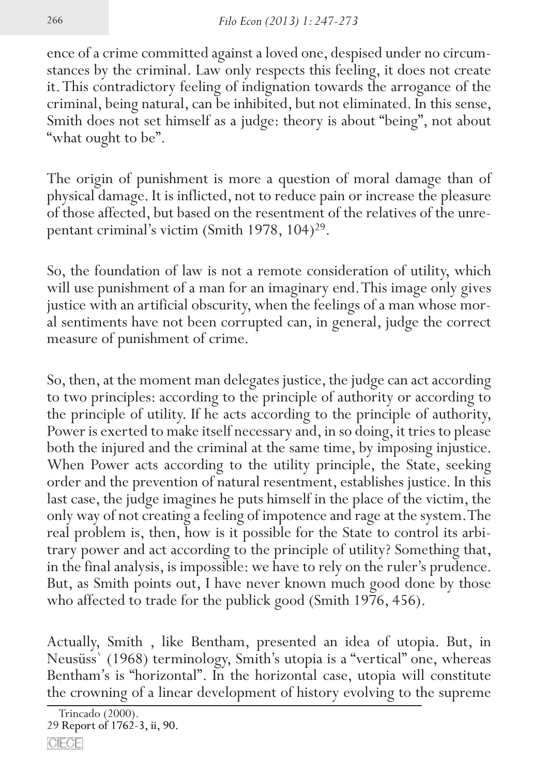ence of a crime committed against a loved one, despised under no circum� stances by the criminal. Law only respects this feeling, it does not create it. This contradictory feeling of indignation towards the arrogance of the criminal, being natural, can be inhibited, but not eliminated. In this sense, Smith does not set himself as a judge: theory is about "being", not about "what ought to be".

The origin of punishment is more a question of moral damage than of physical damage. It is inflicted, not to reduce pain or increase the pleasure of those affected, but based on the resentment of the relatives of the unrepentant criminal's victim (Smith 1978, 104)<sup>29</sup>.

So, the foundation of law is not a remote consideration of utility, which will use punishment of a man for an imaginary end. This image only gives justice with an artificial obscurity, when the feelings of a man whose mor-<br>al sentiments have not been corrupted can, in general, judge the correct measure of punishment of crime.

So, then, at the moment man delegates justice, the judge can act according to two principles: according to the principle of authority or according to the principle of utility. If he acts according to the principle of authority, Power is exerted to make itself necessary and, in so doing, it tries to please both the injured and the criminal at the same time, by imposing injustice. When Power acts according to the utility principle, the State, seeking order and the prevention of natural resentment, establishes justice. In this last case, the judge imagines he puts himself in the place of the victim, the only way of not creating a feeling of impotence and rage at the system. The real problem is, then, how is it possible for the State to control its arbitrary power and act according to the principle of utility? Something that, in the final analysis, is impossible: we have to rely on the ruler's prudence. But, as Smith points out, I have never known much good done by those who affected to trade for the publick good (Smith 1976, 456).

Actually, Smith , like Bentham, presented an idea of utopia. But, in Neusüss` (1968) terminology, Smith's utopia is a "vertical" one, whereas Bentham's is "horizontal". In the horizontal case, utopia will constitute the crowning of a linear development of history evolving to the supreme

Trincado (2000).

<sup>29</sup> Report of 1762-3, ii, 90.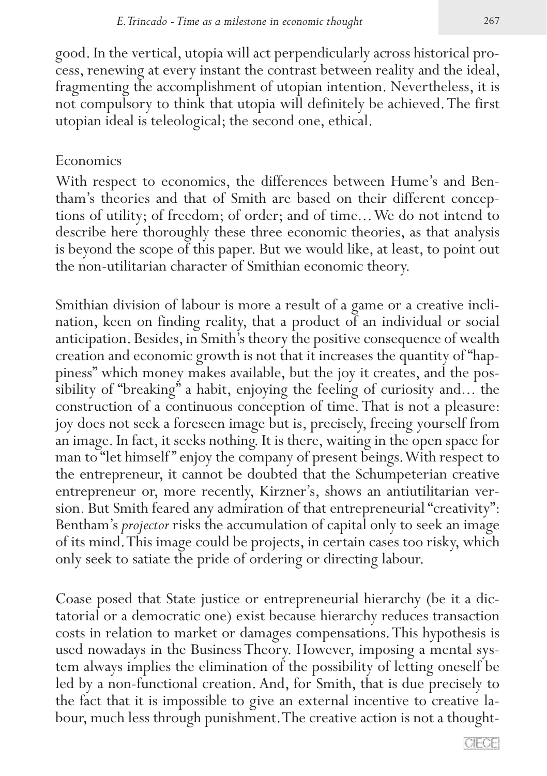good. In the vertical, utopia will act perpendicularly across historical pro� cess, renewing at every instant the contrast between reality and the ideal, fragmenting the accomplishment of utopian intention. Nevertheless, it is not compulsory to think that utopia will definitely be achieved. The first utopian ideal is teleological; the second one, ethical.

## Economics

With respect to economics, the differences between Hume's and Ben-<br>tham's theories and that of Smith are based on their different concep-<br>tions of utility; of freedom; of order; and of time... We do not intend to describe here thoroughly these three economic theories, as that analysis is beyond the scope of this paper. But we would like, at least, to point out the non-utilitarian character of Smithian economic theory.

Smithian division of labour is more a result of a game or a creative inclination, keen on finding reality, that a product of an individual or social anticipation. Besides, in Smith's theory the positive consequence of wealth creation and economic growth is not that it increases the quantity of "hap� piness" which money makes available, but the joy it creates, and the possibility of "breaking" a habit, enjoying the feeling of curiosity and... the construction of a continuous conception of time. That is not a pleasure: joy does not seek a foreseen image but is, precisely, freeing yourself from an image. In fact, it seeks nothing. It is there, waiting in the open space for man to "let himself" enjoy the company of present beings. With respect to the entrepreneur, it cannot be doubted that the Schumpeterian creative entrepreneur or, more recently, Kirzner's, shows an antiutilitarian version. But Smith feared any admiration of that entrepreneurial "creativity": Bentham's *projector* risks the accumulation of capital only to seek an image of its mind. This image could be projects, in certain cases too risky, which only seek to satiate the pride of ordering or directing labour.

Coase posed that State justice or entrepreneurial hierarchy (be it a dictatorial or a democratic one) exist because hierarchy reduces transaction costs in relation to market or damages compensations. This hypothesis is used nowadays in the Business Theory. However, imposing a mental system always implies the elimination of the possibility of letting oneself be led by a non-functional creation. And, for Smith, that is due precisely to the fact that it is impossible to give an external incentive to creative labour, much less through punishment. The creative action is not a thought-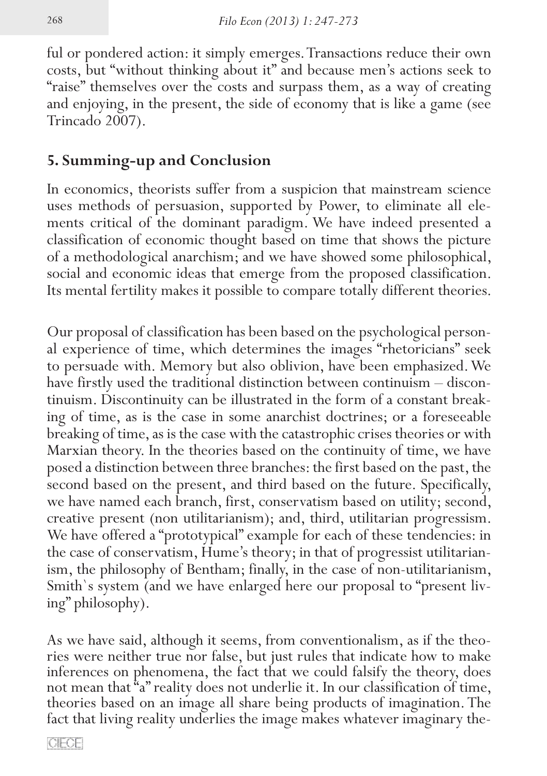ful or pondered action: it simply emerges. Transactions reduce their own costs, but "without thinking about it" and because men's actions seek to "raise" themselves over the costs and surpass them, as a way of creating and enjoying, in the present, the side of economy that is like a game (see Trincado 2007).

# **5. Summing-up and Conclusion**

In economics, theorists suffer from a suspicion that mainstream science uses methods of persuasion, supported by Power, to eliminate all elements critical of the dominant paradigm. We have indeed presented a classification of economic thought based on time that shows the picture of a methodological anarchism; and we have showed some philosophical, social and economic ideas that emerge from the proposed classification. Its mental fertility makes it possible to compare totally different theories.

Our proposal of classification has been based on the psychological personal experience of time, which determines the images "rhetoricians" seek to persuade with. Memory but also oblivion, have been emphasized. We have firstly used the traditional distinction between continuism – discontinuism. Discontinuity can be illustrated in the form of a constant breaking of time, as is the case in some anarchist doctrines; or a foreseeable breaking of time, as is the case with the catastrophic crises theories or with Marxian theory. In the theories based on the continuity of time, we have posed a distinction between three branches: the first based on the past, the second based on the present, and third based on the future. Specifically, we have named each branch, first, conservatism based on utility; second, creative present (non utilitarianism); and, third, utilitarian progressism. We have offered a "prototypical" example for each of these tendencies: in the case of conservatism, Hume's theory; in that of progressist utilitarianism, the philosophy of Bentham; finally, in the case of non-utilitarianism, Smith`s system (and we have enlarged here our proposal to "present living" philosophy).

As we have said, although it seems, from conventionalism, as if the theories were neither true nor false, but just rules that indicate how to make inferences on phenomena, the fact that we could falsify the theory, does not mean that "a" reality does not underlie it. In our classification of time, theories based on an image all share being products of imagination. The fact that living reality underlies the image makes whatever imaginary the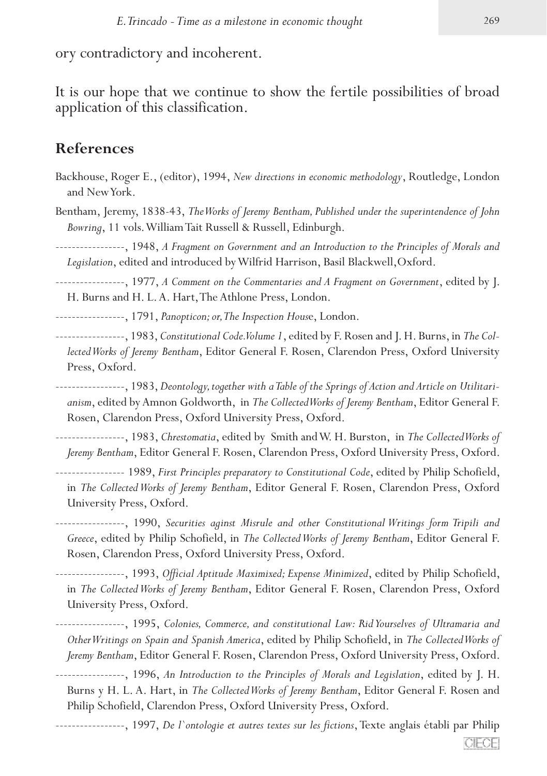ory contradictory and incoherent.

It is our hope that we continue to show the fertile possibilities of broad application of this classification.

#### **References**

- Backhouse, Roger E., (editor), 1994, *New directions in economic methodology*, Routledge, London and New York.
- Bentham, Jeremy, 1838-43, *The Works of Jeremy Bentham, Published under the superintendence of John Bowring*, 11 vols. William Tait Russell & Russell, Edinburgh.

-----------------, 1948, *A Fragment on Government and an Introduction to the Principles of Morals and Legislation*, edited and introduced by Wilfrid Harrison, Basil Blackwell,Oxford.

-----------------, 1977, *A Comment on the Commentaries and A Fragment on Government*, edited by J. H. Burns and H. L. A. Hart, The Athlone Press, London.

-----------------, 1791, *Panopticon; or, The Inspection Hous*e, London.

-----------------, 1983, *Constitutional Code. Volume 1*, edited by F. Rosen and J. H. Burns, in *The Collected Works of Jeremy Bentham*, Editor General F. Rosen, Clarendon Press, Oxford University Press, Oxford.

-----------------, 1983, *Deontology, together with a Table of the Springs of Action and Article on Utilitarianism*, edited by Amnon Goldworth, in *The Collected Works of Jeremy Bentham*, Editor General F. Rosen, Clarendon Press, Oxford University Press, Oxford.

-----------------, 1983, *Chrestomatia*, edited by Smith and W. H. Burston, in *The Collected Works of Jeremy Bentham*, Editor General F. Rosen, Clarendon Press, Oxford University Press, Oxford.

- ----------------- 1989, *First Principles preparatory to Constitutional Code*, edited by Philip Schofield, in *The Collected Works of Jeremy Bentham*, Editor General F. Rosen, Clarendon Press, Oxford University Press, Oxford.
- -----------------, 1990, *Securities aginst Misrule and other Constitutional Writings form Tripili and Greece*, edited by Philip Schofield, in *The Collected Works of Jeremy Bentham*, Editor General F. Rosen, Clarendon Press, Oxford University Press, Oxford.
- -----------------, 1993, *Official Aptitude Maximixed; Expense Minimized*, edited by Philip Schofield, in *The Collected Works of Jeremy Bentham*, Editor General F. Rosen, Clarendon Press, Oxford University Press, Oxford.

-----------------, 1995, *Colonies, Commerce, and constitutional Law: Rid Yourselves of Ultramaria and Other Writings on Spain and Spanish America*, edited by Philip Schofield, in *The Collected Works of Jeremy Bentham*, Editor General F. Rosen, Clarendon Press, Oxford University Press, Oxford.

-----------------, 1996, *An Introduction to the Principles of Morals and Legislation*, edited by J. H. Burns y H. L. A. Hart, in *The Collected Works of Jeremy Bentham*, Editor General F. Rosen and Philip Schofield, Clarendon Press, Oxford University Press, Oxford.

-----------------, 1997, *De l`ontologie et autres textes sur les fictions*, Texte anglais établi par Philip CIFOE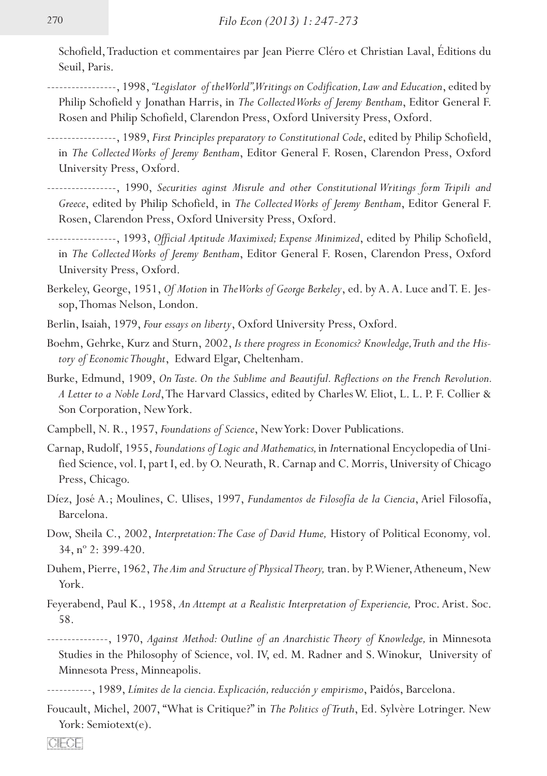Schofield, Traduction et commentaires par Jean Pierre Cléro et Christian Laval, Éditions du Seuil, Paris.

- -----------------, 1998, *"Legislator of the World", Writings on Codification, Law and Education*, edited by Philip Schofield y Jonathan Harris, in *The Collected Works of Jeremy Bentham*, Editor General F. Rosen and Philip Schofield, Clarendon Press, Oxford University Press, Oxford.
- -----------------, 1989, *First Principles preparatory to Constitutional Code*, edited by Philip Schofield, in *The Collected Works of Jeremy Bentham*, Editor General F. Rosen, Clarendon Press, Oxford University Press, Oxford.
- -----------------, 1990, *Securities aginst Misrule and other Constitutional Writings form Tripili and Greece*, edited by Philip Schofield, in *The Collected Works of Jeremy Bentham*, Editor General F. Rosen, Clarendon Press, Oxford University Press, Oxford.
- -----------------, 1993, *Official Aptitude Maximixed; Expense Minimized*, edited by Philip Schofield, in *The Collected Works of Jeremy Bentham*, Editor General F. Rosen, Clarendon Press, Oxford University Press, Oxford.
- Berkeley, George, 1951, *Of Motion* in *The Works of George Berkeley*, ed. by A. A. Luce and T. E. Jessop, Thomas Nelson, London.
- Berlin, Isaiah, 1979, *Four essays on liberty*, Oxford University Press, Oxford.
- Boehm, Gehrke, Kurz and Sturn, 2002, *Is there progress in Economics? Knowledge, Truth and the History of Economic Thought*, Edward Elgar, Cheltenham.
- Burke, Edmund, 1909, *On Taste. On the Sublime and Beautiful. Reflections on the French Revolution. A Letter to a Noble Lord*, The Harvard Classics, edited by Charles W. Eliot, L. L. P. F. Collier & Son Corporation, New York.
- Campbell, N. R., 1957, *Foundations of Science*, New York: Dover Publications.
- Carnap, Rudolf, 1955, *Foundations of Logic and Mathematics,* in *In*ternational Encyclopedia of Uni� fied Science, vol. I, part I, ed. by O. Neurath, R. Carnap and C. Morris, University of Chicago Press, Chicago.
- Díez, José A.; Moulines, C. Ulises, 1997, *Fundamentos de Filosofía de la Ciencia*, Ariel Filosofía, Barcelona.
- Dow, Sheila C., 2002, *Interpretation: The Case of David Hume,* History of Political Economy*,* vol. 34, nº 2: 399-420.
- Duhem, Pierre, 1962, *The Aim and Structure of Physical Theory,* tran. by P. Wiener, Atheneum, New York.
- Feyerabend, Paul K., 1958, *An Attempt at a Realistic Interpretation of Experiencie,* Proc. Arist. Soc. 58.
- ---------------, 1970, *Against Method: Outline of an Anarchistic Theory of Knowledge,* in Minnesota Studies in the Philosophy of Science, vol. IV, ed. M. Radner and S. Winokur, University of Minnesota Press, Minneapolis.
- -----------, 1989, *Límites de la ciencia. Explicación, reducción y empirismo*, Paidós, Barcelona.
- Foucault, Michel, 2007, "What is Critique?" in *The Politics of Truth*, Ed. Sylvère Lotringer. New York: Semiotext(e).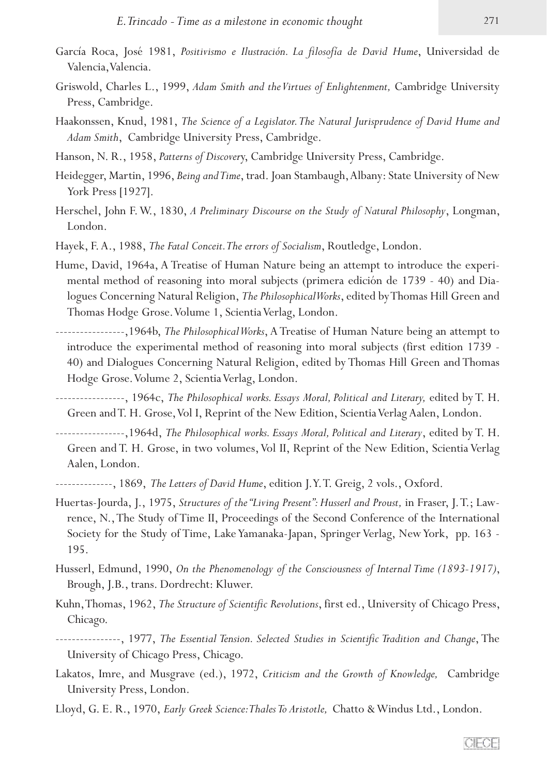- García Roca, José 1981, *Positivismo e Ilustración. La filosofía de David Hume*, Universidad de Valencia, Valencia.
- Griswold, Charles L., 1999, *Adam Smith and the Virtues of Enlightenment,* Cambridge University Press, Cambridge.
- Haakonssen, Knud, 1981, *The Science of a Legislator. The Natural Jurisprudence of David Hume and Adam Smith*, Cambridge University Press, Cambridge.
- Hanson, N. R., 1958, *Patterns of Discover*y, Cambridge University Press, Cambridge.
- Heidegger, Martin, 1996, *Being and Time*, trad. Joan Stambaugh, Albany: State University of New York Press [1927].
- Herschel, John F. W., 1830, *A Preliminary Discourse on the Study of Natural Philosophy*, Longman, London.
- Hayek, F. A., 1988, *The Fatal Conceit. The errors of Socialism*, Routledge, London.
- Hume, David, 1964a, A Treatise of Human Nature being an attempt to introduce the experimental method of reasoning into moral subjects (primera edición de 1739 - 40) and Dialogues Concerning Natural Religion, *The Philosophical Works*, edited by Thomas Hill Green and Thomas Hodge Grose. Volume 1, Scientia Verlag, London.
- -----------------,1964b, *The Philosophical Works*, A Treatise of Human Nature being an attempt to introduce the experimental method of reasoning into moral subjects (first edition 1739 -40) and Dialogues Concerning Natural Religion, edited by Thomas Hill Green and Thomas Hodge Grose. Volume 2, Scientia Verlag, London.
- -----------------, 1964c, *The Philosophical works. Essays Moral, Political and Literary,* edited by T. H. Green and T. H. Grose, Vol I, Reprint of the New Edition, Scientia Verlag Aalen, London.
- -----------------,1964d, *The Philosophical works. Essays Moral, Political and Literary*, edited by T. H. Green and T. H. Grose, in two volumes, Vol II, Reprint of the New Edition, Scientia Verlag Aalen, London.
- --------------, 1869, *The Letters of David Hume*, edition J. Y. T. Greig, 2 vols., Oxford.
- Huertas-Jourda, J., 1975, *Structures of the "Living Present": Husserl and Proust,* in Fraser, J. T.; Law� rence, N., The Study of Time II, Proceedings of the Second Conference of the International Society for the Study of Time, Lake Yamanaka-Japan, Springer Verlag, New York, pp. 163 -195.
- Husserl, Edmund, 1990, *On the Phenomenology of the Consciousness of Internal Time (1893-1917)*, Brough, J.B., trans. Dordrecht: Kluwer.
- Kuhn, Thomas, 1962, *The Structure of Scientific Revolutions*, first ed., University of Chicago Press, Chicago.

----------------, 1977, *The Essential Tension. Selected Studies in Scientific Tradition and Change*, The University of Chicago Press, Chicago.

- Lakatos, Imre, and Musgrave (ed.), 1972, *Criticism and the Growth of Knowledge,* Cambridge University Press, London.
- Lloyd, G. E. R., 1970, *Early Greek Science: Thales To Aristotle,* Chatto & Windus Ltd., London.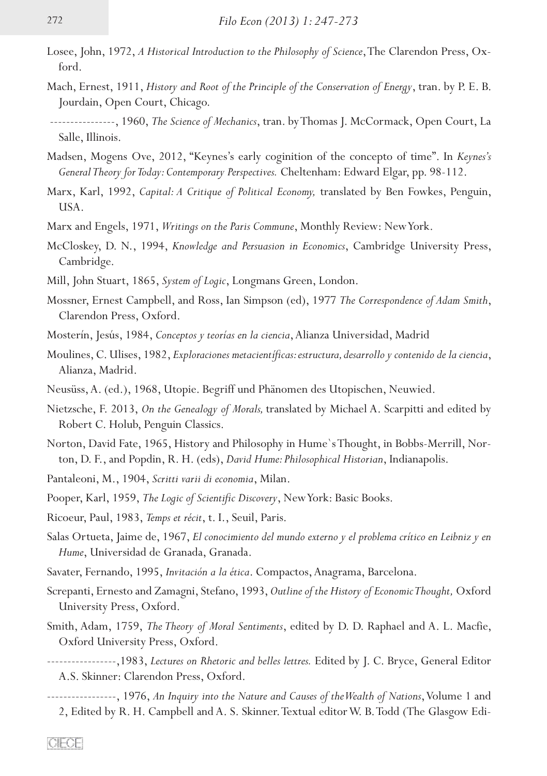- Losee, John, 1972, *A Historical Introduction to the Philosophy of Science*, The Clarendon Press, Oxford.
- Mach, Ernest, 1911, *History and Root of the Principle of the Conservation of Energy*, tran. by P. E. B. Jourdain, Open Court, Chicago.
- ----------------, 1960, *The Science of Mechanics*, tran. by Thomas J. McCormack, Open Court, La Salle, Illinois.
- Madsen, Mogens Ove, 2012, "Keynes's early coginition of the concepto of time". In *Keynes's General Theory for Today: Contemporary Perspectives.* Cheltenham: Edward Elgar, pp. 98-112.
- Marx, Karl, 1992, *Capital: A Critique of Political Economy,* translated by Ben Fowkes, Penguin, USA.
- Marx and Engels, 1971, *Writings on the Paris Commune*, Monthly Review: New York.
- McCloskey, D. N., 1994, *Knowledge and Persuasion in Economics*, Cambridge University Press, Cambridge.
- Mill, John Stuart, 1865, *System of Logic*, Longmans Green, London.
- Mossner, Ernest Campbell, and Ross, Ian Simpson (ed), 1977 *The Correspondence of Adam Smith*, Clarendon Press, Oxford.
- Mosterín, Jesús, 1984, *Conceptos y teorías en la ciencia*, Alianza Universidad, Madrid
- Moulines, C. Ulises, 1982, *Exploraciones metacientíficas: estructura, desarrollo y contenido de la ciencia*, Alianza, Madrid.
- Neusüss, A. (ed.), 1968, Utopie. Begriff und Phänomen des Utopischen, Neuwied.
- Nietzsche, F. 2013, *On the Genealogy of Morals,* translated by Michael A. Scarpitti and edited by Robert C. Holub, Penguin Classics.
- Norton, David Fate, 1965, History and Philosophy in Hume's Thought, in Bobbs-Merrill, Norton, D. F., and Popdin, R. H. (eds), *David Hume: Philosophical Historian*, Indianapolis.
- Pantaleoni, M., 1904, *Scritti varii di economia*, Milan.
- Pooper, Karl, 1959, *The Logic of Scientific Discovery*, New York: Basic Books.
- Ricoeur, Paul, 1983, *Temps et récit*, t. I., Seuil, Paris.
- Salas Ortueta, Jaime de, 1967, *El conocimiento del mundo externo y el problema crítico en Leibniz y en Hume*, Universidad de Granada, Granada.
- Savater, Fernando, 1995, *Invitación a la ética*. Compactos, Anagrama, Barcelona.
- Screpanti, Ernesto and Zamagni, Stefano, 1993, *Outline of the History of Economic Thought,* Oxford University Press, Oxford.
- Smith, Adam, 1759, *The Theory of Moral Sentiments*, edited by D. D. Raphael and A. L. Macfie, Oxford University Press, Oxford.
- -----------------,1983, *Lectures on Rhetoric and belles lettres.* Edited by J. C. Bryce, General Editor A.S. Skinner: Clarendon Press, Oxford.
- -----------------, 1976, *An Inquiry into the Nature and Causes of the Wealth of Nations*, Volume 1 and 2, Edited by R. H. Campbell and A. S. Skinner. Textual editor W. B. Todd (The Glasgow Edi�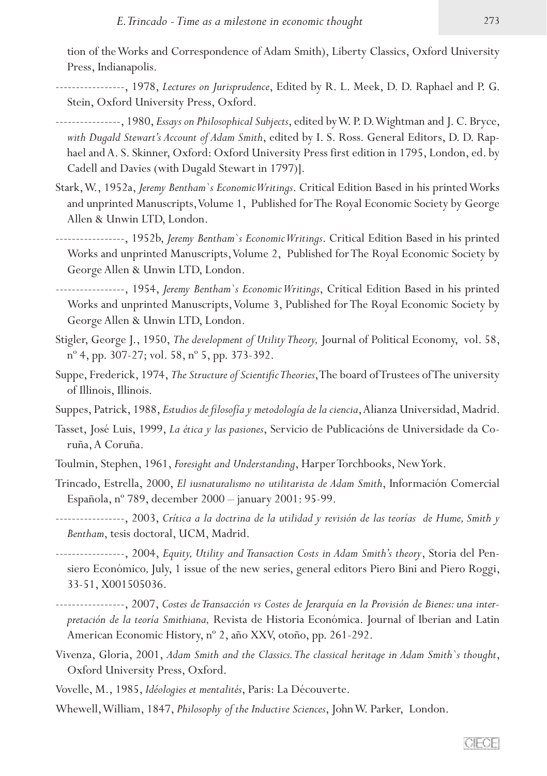tion of the Works and Correspondence of Adam Smith), Liberty Classics, Oxford University Press, Indianapolis.

- -----------------, 1978, *Lectures on Jurisprudence*, Edited by R. L. Meek, D. D. Raphael and P. G. Stein, Oxford University Press, Oxford.
- ----------------, 1980, *Essays on Philosophical Subjects*, edited by W. P. D. Wightman and J. C. Bryce, with Dugald Stewart's Account of Adam Smith, edited by I. S. Ross. General Editors, D. D. Raphael and A. S. Skinner, Oxford: Oxford University Press first edition in 1795, London, ed. by Cadell and Davies (with Dugald Stewart in 1797)].
- Stark, W., 1952a, *Jeremy Bentham`s Economic Writings*. Critical Edition Based in his printed Works and unprinted Manuscripts, Volume 1, Published for The Royal Economic Society by George Allen & Unwin LTD, London.

-----------------, 1952b, *Jeremy Bentham`s Economic Writings*. Critical Edition Based in his printed Works and unprinted Manuscripts, Volume 2, Published for The Royal Economic Society by George Allen & Unwin LTD, London.

-----------------, 1954, *Jeremy Bentham`s Economic Writings*, Critical Edition Based in his printed Works and unprinted Manuscripts, Volume 3, Published for The Royal Economic Society by George Allen & Unwin LTD, London.

- Stigler, George J., 1950, *The development of Utility Theory,* Journal of Political Economy, vol. 58, nº 4, pp. 307-27; vol. 58, nº 5, pp. 373-392.
- Suppe, Frederick, 1974, *The Structure of Scientific Theories*, The board of Trustees of The university of Illinois, Illinois.
- Suppes, Patrick, 1988, *Estudios de filosofía y metodología de la ciencia*, Alianza Universidad, Madrid.
- Tasset, José Luis, 1999, *La ética y las pasiones*, Servicio de Publicacións de Universidade da Co� ruña, A Coruña.
- Toulmin, Stephen, 1961, *Foresight and Understanding*, Harper Torchbooks, New York.
- Trincado, Estrella, 2000, *El iusnaturalismo no utilitarista de Adam Smith*, Información Comercial Española, nº 789, december 2000 – january 2001: 95-99.
- -----------------, 2003, *Crítica a la doctrina de la utilidad y revisión de las teorías de Hume, Smith y Bentham*, tesis doctoral, UCM, Madrid.
- -----------------, 2004, *Equity, Utility and Transaction Costs in Adam Smith's theory*, Storia del Pen� siero Económico*,* July, 1 issue of the new series, general editors Piero Bini and Piero Roggi, 33-51, X001505036.
- -----------------, 2007, *Costes de Transacción vs Costes de Jerarquía en la Provisión de Bienes: una interpretación de la teoría Smithiana,* Revista de Historia Económica. Journal of Iberian and Latin American Economic History, nº 2, año XXV, otoño, pp. 261-292.
- Vivenza, Gloria, 2001, *Adam Smith and the Classics. The classical heritage in Adam Smith`s thought*, Oxford University Press, Oxford.
- Vovelle, M., 1985, *Idéologies et mentalités*, Paris: La Découverte.
- Whewell, William, 1847, *Philosophy of the Inductive Sciences*, John W. Parker, London.